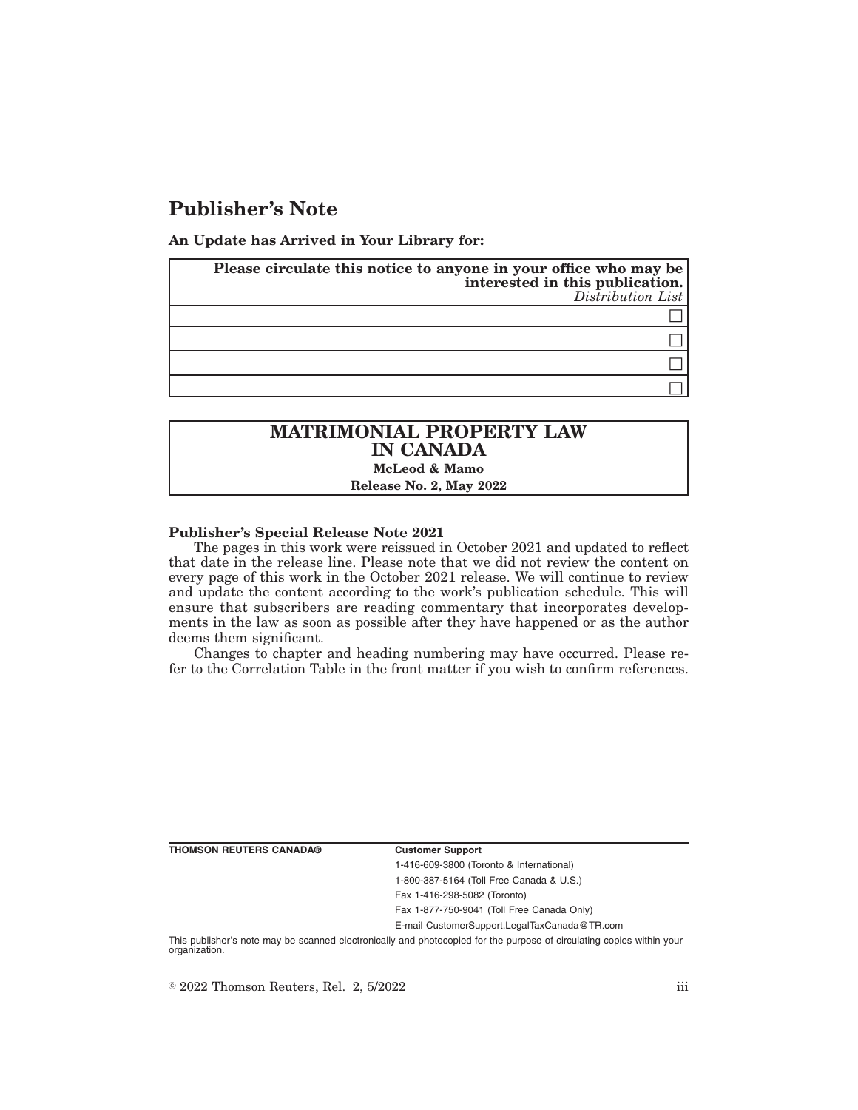# **Publisher's Note**

**An Update has Arrived in Your Library for:**

| Please circulate this notice to anyone in your office who may be<br>interested in this publication. | Distribution List |
|-----------------------------------------------------------------------------------------------------|-------------------|
|                                                                                                     |                   |
|                                                                                                     |                   |
|                                                                                                     |                   |
|                                                                                                     |                   |

## **MATRIMONIAL PROPERTY LAW IN CANADA McLeod & Mamo Release No. 2, May 2022**

### **Publisher's Special Release Note 2021**

The pages in this work were reissued in October 2021 and updated to reflect that date in the release line. Please note that we did not review the content on every page of this work in the October 2021 release. We will continue to review and update the content according to the work's publication schedule. This will ensure that subscribers are reading commentary that incorporates developments in the law as soon as possible after they have happened or as the author deems them significant.

Changes to chapter and heading numbering may have occurred. Please refer to the Correlation Table in the front matter if you wish to confirm references.

**THOMSON REUTERS CANADA® Customer Support**

1-416-609-3800 (Toronto & International) 1-800-387-5164 (Toll Free Canada & U.S.) Fax 1-416-298-5082 (Toronto)

Fax 1-877-750-9041 (Toll Free Canada Only)

E-mail CustomerSupport.LegalTaxCanada@TR.com

This publisher's note may be scanned electronically and photocopied for the purpose of circulating copies within your organization.

 $\degree$  2022 Thomson Reuters, Rel. 2, 5/2022 iii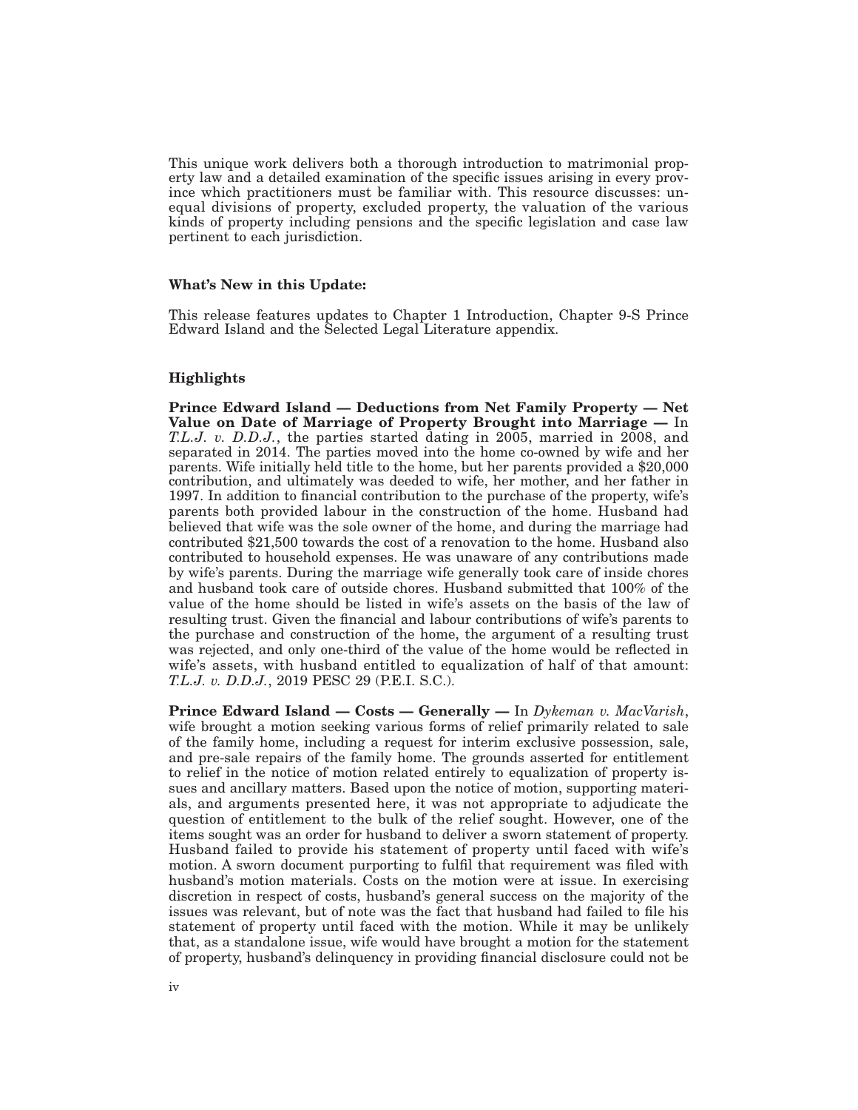This unique work delivers both a thorough introduction to matrimonial property law and a detailed examination of the specific issues arising in every province which practitioners must be familiar with. This resource discusses: unequal divisions of property, excluded property, the valuation of the various kinds of property including pensions and the specific legislation and case law pertinent to each jurisdiction.

### **What's New in this Update:**

This release features updates to Chapter 1 Introduction, Chapter 9-S Prince Edward Island and the Selected Legal Literature appendix.

### **Highlights**

**Prince Edward Island — Deductions from Net Family Property — Net Value on Date of Marriage of Property Brought into Marriage —** In *T.L.J. v. D.D.J.*, the parties started dating in 2005, married in 2008, and separated in 2014. The parties moved into the home co-owned by wife and her parents. Wife initially held title to the home, but her parents provided a \$20,000 contribution, and ultimately was deeded to wife, her mother, and her father in 1997. In addition to financial contribution to the purchase of the property, wife's parents both provided labour in the construction of the home. Husband had believed that wife was the sole owner of the home, and during the marriage had contributed \$21,500 towards the cost of a renovation to the home. Husband also contributed to household expenses. He was unaware of any contributions made by wife's parents. During the marriage wife generally took care of inside chores and husband took care of outside chores. Husband submitted that 100% of the value of the home should be listed in wife's assets on the basis of the law of resulting trust. Given the financial and labour contributions of wife's parents to the purchase and construction of the home, the argument of a resulting trust was rejected, and only one-third of the value of the home would be reflected in wife's assets, with husband entitled to equalization of half of that amount: *T.L.J. v. D.D.J.*, 2019 PESC 29 (P.E.I. S.C.).

**Prince Edward Island — Costs — Generally —** In *Dykeman v. MacVarish*, wife brought a motion seeking various forms of relief primarily related to sale of the family home, including a request for interim exclusive possession, sale, and pre-sale repairs of the family home. The grounds asserted for entitlement to relief in the notice of motion related entirely to equalization of property issues and ancillary matters. Based upon the notice of motion, supporting materials, and arguments presented here, it was not appropriate to adjudicate the question of entitlement to the bulk of the relief sought. However, one of the items sought was an order for husband to deliver a sworn statement of property. Husband failed to provide his statement of property until faced with wife's motion. A sworn document purporting to fulfil that requirement was filed with husband's motion materials. Costs on the motion were at issue. In exercising discretion in respect of costs, husband's general success on the majority of the issues was relevant, but of note was the fact that husband had failed to file his statement of property until faced with the motion. While it may be unlikely that, as a standalone issue, wife would have brought a motion for the statement of property, husband's delinquency in providing financial disclosure could not be